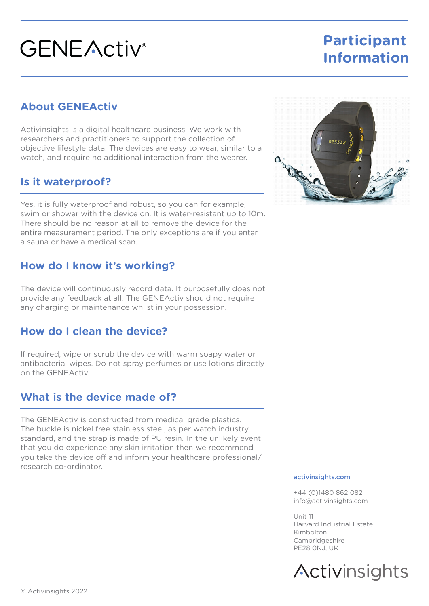# **GENEActiv**<sup>®</sup>

## **Participant Information**

## **About GENEActiv**

Activinsights is a digital healthcare business. We work with researchers and practitioners to support the collection of objective lifestyle data. The devices are easy to wear, similar to a watch, and require no additional interaction from the wearer.

#### **Is it waterproof?**

Yes, it is fully waterproof and robust, so you can for example, swim or shower with the device on. It is water-resistant up to 10m. There should be no reason at all to remove the device for the entire measurement period. The only exceptions are if you enter a sauna or have a medical scan.

### **How do I know it's working?**

The device will continuously record data. It purposefully does not provide any feedback at all. The GENEActiv should not require any charging or maintenance whilst in your possession.

## **How do I clean the device?**

If required, wipe or scrub the device with warm soapy water or antibacterial wipes. Do not spray perfumes or use lotions directly on the GENEActiv.

#### **What is the device made of?**

The GENEActiv is constructed from medical grade plastics. The buckle is nickel free stainless steel, as per watch industry standard, and the strap is made of PU resin. In the unlikely event that you do experience any skin irritation then we recommend you take the device off and inform your healthcare professional/ research co-ordinator.



#### activinsights.com

+44 (0)1480 862 082 info@activinsights.com

Unit 11 Harvard Industrial Estate Kimbolton Cambridgeshire PE28 0NJ, UK